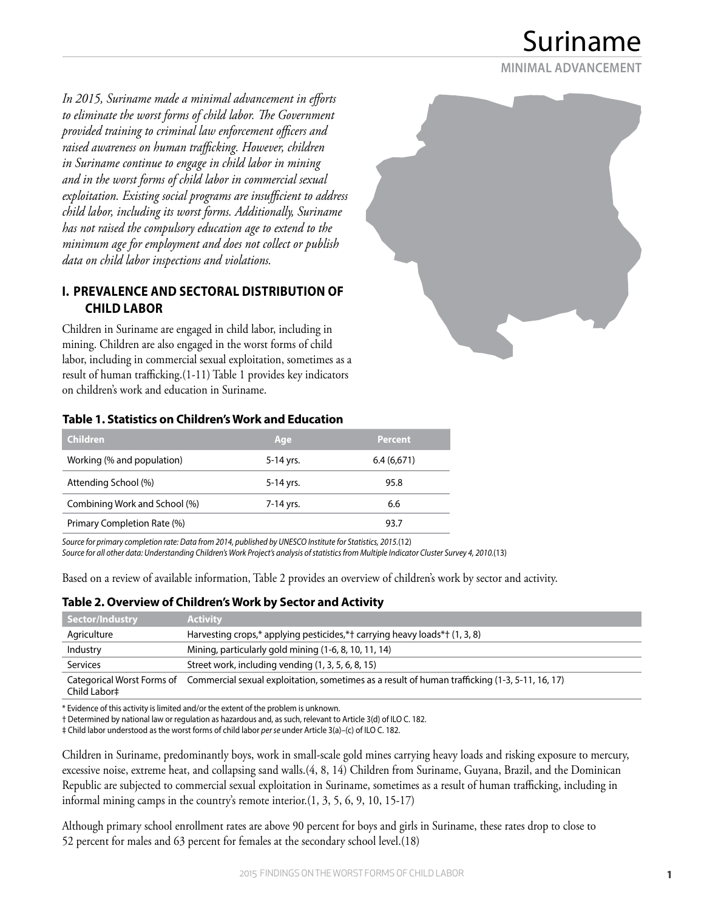Suriname

**MINIMAL ADVANCEMENT**

*In 2015, Suriname made a minimal advancement in efforts to eliminate the worst forms of child labor. The Government provided training to criminal law enforcement officers and raised awareness on human trafficking. However, children in Suriname continue to engage in child labor in mining and in the worst forms of child labor in commercial sexual exploitation. Existing social programs are insufficient to address child labor, including its worst forms. Additionally, Suriname has not raised the compulsory education age to extend to the minimum age for employment and does not collect or publish data on child labor inspections and violations.*

## **I. PREVALENCE AND SECTORAL DISTRIBUTION OF CHILD LABOR**

Children in Suriname are engaged in child labor, including in mining. Children are also engaged in the worst forms of child labor, including in commercial sexual exploitation, sometimes as a result of human trafficking.(1-11) Table 1 provides key indicators on children's work and education in Suriname.



#### **Table 1. Statistics on Children's Work and Education**

| 'Children                     | Age       | <b>Percent</b> |
|-------------------------------|-----------|----------------|
| Working (% and population)    | 5-14 yrs. | 6.4(6.671)     |
| Attending School (%)          | 5-14 yrs. | 95.8           |
| Combining Work and School (%) | 7-14 yrs. | 6.6            |
| Primary Completion Rate (%)   |           | 93.7           |

*Source for primary completion rate: Data from 2014, published by UNESCO Institute for Statistics, 2015.*(12) *Source for all other data: Understanding Children's Work Project's analysis of statistics from Multiple Indicator Cluster Survey 4, 2010.*(13)

Based on a review of available information, Table 2 provides an overview of children's work by sector and activity.

## **Table 2. Overview of Children's Work by Sector and Activity**

| Sector/Industry | <b>Activity</b>                                                                                                           |
|-----------------|---------------------------------------------------------------------------------------------------------------------------|
| Agriculture     | Harvesting crops,* applying pesticides,*† carrying heavy loads*† (1, 3, 8)                                                |
| Industry        | Mining, particularly gold mining (1-6, 8, 10, 11, 14)                                                                     |
| Services        | Street work, including vending (1, 3, 5, 6, 8, 15)                                                                        |
| Child Labor‡    | Categorical Worst Forms of Commercial sexual exploitation, sometimes as a result of human trafficking (1-3, 5-11, 16, 17) |

\* Evidence of this activity is limited and/or the extent of the problem is unknown.

† Determined by national law or regulation as hazardous and, as such, relevant to Article 3(d) of ILO C. 182.

‡ Child labor understood as the worst forms of child labor *per se* under Article 3(a)–(c) of ILO C. 182.

Children in Suriname, predominantly boys, work in small-scale gold mines carrying heavy loads and risking exposure to mercury, excessive noise, extreme heat, and collapsing sand walls.(4, 8, 14) Children from Suriname, Guyana, Brazil, and the Dominican Republic are subjected to commercial sexual exploitation in Suriname, sometimes as a result of human trafficking, including in informal mining camps in the country's remote interior. $(1, 3, 5, 6, 9, 10, 15-17)$ 

Although primary school enrollment rates are above 90 percent for boys and girls in Suriname, these rates drop to close to 52 percent for males and 63 percent for females at the secondary school level.(18)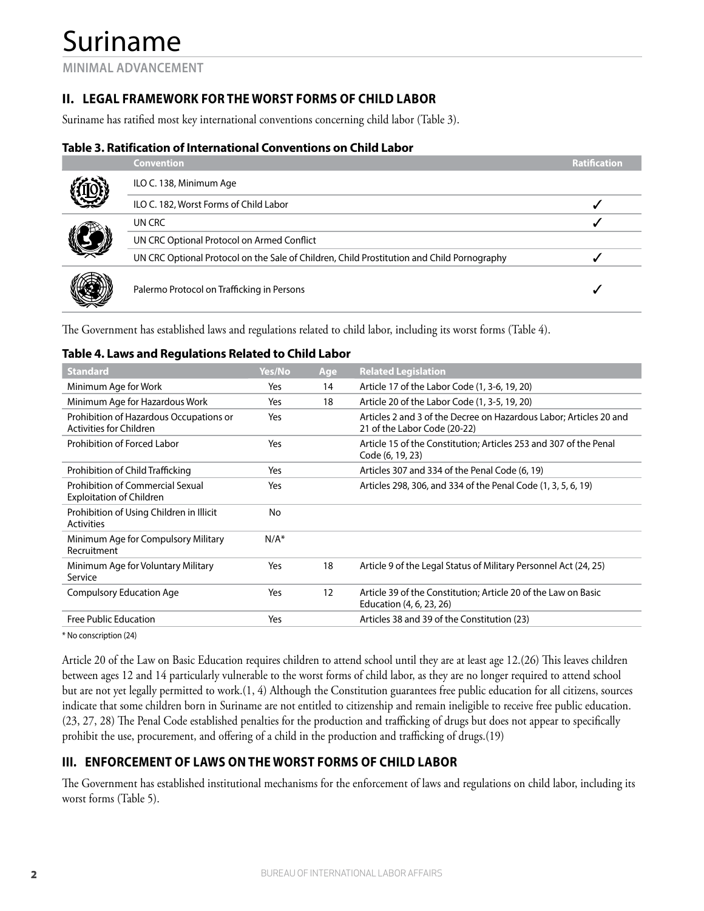# Suriname

**MINIMAL ADVANCEMENT**

## **II. LEGAL FRAMEWORK FOR THE WORST FORMS OF CHILD LABOR**

Suriname has ratified most key international conventions concerning child labor (Table 3).

## **Table 3. Ratification of International Conventions on Child Labor**

|  | <b>Convention</b>                                                                          | <b>Ratification</b> |
|--|--------------------------------------------------------------------------------------------|---------------------|
|  | ILO C. 138, Minimum Age                                                                    |                     |
|  | ILO C. 182, Worst Forms of Child Labor                                                     |                     |
|  | UN CRC                                                                                     |                     |
|  | UN CRC Optional Protocol on Armed Conflict                                                 |                     |
|  | UN CRC Optional Protocol on the Sale of Children, Child Prostitution and Child Pornography |                     |
|  | Palermo Protocol on Trafficking in Persons                                                 |                     |

The Government has established laws and regulations related to child labor, including its worst forms (Table 4).

## **Table 4. Laws and Regulations Related to Child Labor**

| <b>Standard</b>                                                     | Yes/No  | Age | <b>Related Legislation</b>                                                                         |
|---------------------------------------------------------------------|---------|-----|----------------------------------------------------------------------------------------------------|
| Minimum Age for Work                                                | Yes     | 14  | Article 17 of the Labor Code (1, 3-6, 19, 20)                                                      |
| Minimum Age for Hazardous Work                                      | Yes     | 18  | Article 20 of the Labor Code (1, 3-5, 19, 20)                                                      |
| Prohibition of Hazardous Occupations or<br>Activities for Children  | Yes     |     | Articles 2 and 3 of the Decree on Hazardous Labor; Articles 20 and<br>21 of the Labor Code (20-22) |
| Prohibition of Forced Labor                                         | Yes     |     | Article 15 of the Constitution; Articles 253 and 307 of the Penal<br>Code (6, 19, 23)              |
| Prohibition of Child Trafficking                                    | Yes     |     | Articles 307 and 334 of the Penal Code (6, 19)                                                     |
| Prohibition of Commercial Sexual<br><b>Exploitation of Children</b> | Yes     |     | Articles 298, 306, and 334 of the Penal Code (1, 3, 5, 6, 19)                                      |
| Prohibition of Using Children in Illicit<br><b>Activities</b>       | No.     |     |                                                                                                    |
| Minimum Age for Compulsory Military<br>Recruitment                  | $N/A^*$ |     |                                                                                                    |
| Minimum Age for Voluntary Military<br>Service                       | Yes     | 18  | Article 9 of the Legal Status of Military Personnel Act (24, 25)                                   |
| <b>Compulsory Education Age</b>                                     | Yes     | 12  | Article 39 of the Constitution; Article 20 of the Law on Basic<br>Education (4, 6, 23, 26)         |
| Free Public Education                                               | Yes     |     | Articles 38 and 39 of the Constitution (23)                                                        |

\* No conscription (24)

Article 20 of the Law on Basic Education requires children to attend school until they are at least age 12.(26) This leaves children between ages 12 and 14 particularly vulnerable to the worst forms of child labor, as they are no longer required to attend school but are not yet legally permitted to work.(1, 4) Although the Constitution guarantees free public education for all citizens, sources indicate that some children born in Suriname are not entitled to citizenship and remain ineligible to receive free public education. (23, 27, 28) The Penal Code established penalties for the production and trafficking of drugs but does not appear to specifically prohibit the use, procurement, and offering of a child in the production and trafficking of drugs.(19)

## **III. ENFORCEMENT OF LAWS ON THE WORST FORMS OF CHILD LABOR**

The Government has established institutional mechanisms for the enforcement of laws and regulations on child labor, including its worst forms (Table 5).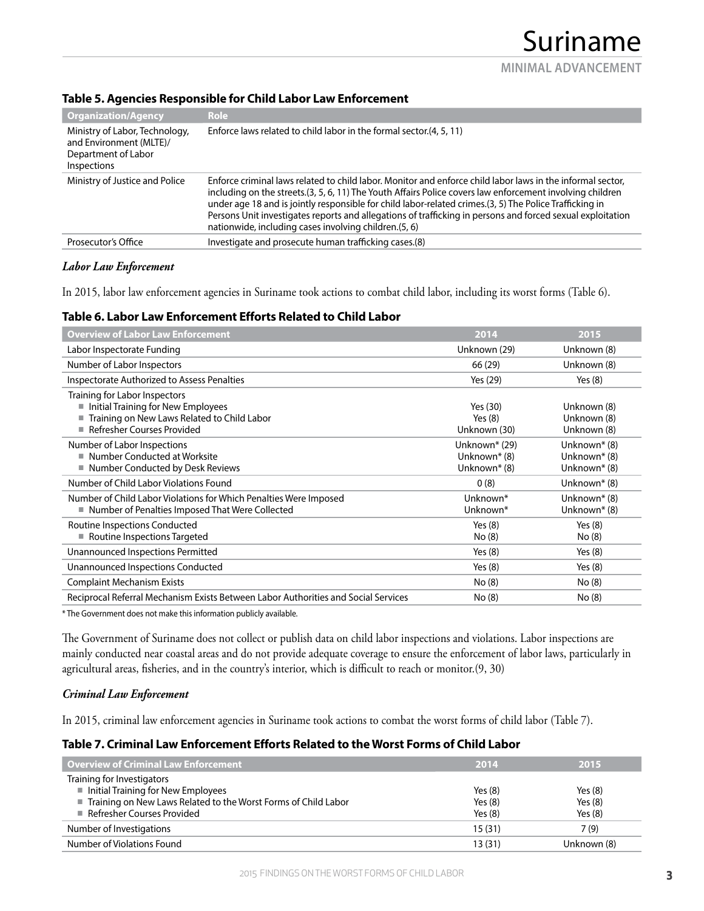**MINIMAL ADVANCEMENT**

| <b>Organization/Agency</b>                                                                      | <b>Role</b>                                                                                                                                                                                                                                                                                                                                                                                                                                                                                               |
|-------------------------------------------------------------------------------------------------|-----------------------------------------------------------------------------------------------------------------------------------------------------------------------------------------------------------------------------------------------------------------------------------------------------------------------------------------------------------------------------------------------------------------------------------------------------------------------------------------------------------|
| Ministry of Labor, Technology,<br>and Environment (MLTE)/<br>Department of Labor<br>Inspections | Enforce laws related to child labor in the formal sector.(4, 5, 11)                                                                                                                                                                                                                                                                                                                                                                                                                                       |
| Ministry of Justice and Police                                                                  | Enforce criminal laws related to child labor. Monitor and enforce child labor laws in the informal sector,<br>including on the streets.(3, 5, 6, 11) The Youth Affairs Police covers law enforcement involving children<br>under age 18 and is jointly responsible for child labor-related crimes.(3, 5) The Police Trafficking in<br>Persons Unit investigates reports and allegations of trafficking in persons and forced sexual exploitation<br>nationwide, including cases involving children.(5, 6) |
| Prosecutor's Office                                                                             | Investigate and prosecute human trafficking cases.(8)                                                                                                                                                                                                                                                                                                                                                                                                                                                     |

#### **Table 5. Agencies Responsible for Child Labor Law Enforcement**

## *Labor Law Enforcement*

In 2015, labor law enforcement agencies in Suriname took actions to combat child labor, including its worst forms (Table 6).

## **Table 6. Labor Law Enforcement Efforts Related to Child Labor**

| <b>Overview of Labor Law Enforcement</b>                                                                                                           | 2014                                                                  | 2015                                         |
|----------------------------------------------------------------------------------------------------------------------------------------------------|-----------------------------------------------------------------------|----------------------------------------------|
| Labor Inspectorate Funding                                                                                                                         | Unknown (29)                                                          | Unknown (8)                                  |
| Number of Labor Inspectors                                                                                                                         | 66 (29)                                                               | Unknown (8)                                  |
| Inspectorate Authorized to Assess Penalties                                                                                                        | Yes (29)                                                              | Yes $(8)$                                    |
| Training for Labor Inspectors<br>Initial Training for New Employees<br>Training on New Laws Related to Child Labor<br>■ Refresher Courses Provided | Yes (30)<br>Yes $(8)$<br>Unknown (30)                                 | Unknown (8)<br>Unknown (8)<br>Unknown (8)    |
| Number of Labor Inspections<br>■ Number Conducted at Worksite<br>■ Number Conducted by Desk Reviews                                                | Unknown* (29)<br>Unknown <sup>*</sup> (8)<br>Unknown <sup>*</sup> (8) | Unknown* (8)<br>Unknown* (8)<br>Unknown* (8) |
| Number of Child Labor Violations Found                                                                                                             | 0(8)                                                                  | Unknown* (8)                                 |
| Number of Child Labor Violations for Which Penalties Were Imposed<br>■ Number of Penalties Imposed That Were Collected                             | Unknown*<br>Unknown*                                                  | Unknown* (8)<br>Unknown* (8)                 |
| Routine Inspections Conducted<br>Routine Inspections Targeted                                                                                      | Yes $(8)$<br>No (8)                                                   | Yes $(8)$<br>No (8)                          |
| Unannounced Inspections Permitted                                                                                                                  | Yes $(8)$                                                             | Yes $(8)$                                    |
| Unannounced Inspections Conducted                                                                                                                  | Yes $(8)$                                                             | Yes $(8)$                                    |
| <b>Complaint Mechanism Exists</b>                                                                                                                  | No (8)                                                                | No (8)                                       |
| Reciprocal Referral Mechanism Exists Between Labor Authorities and Social Services                                                                 | No (8)                                                                | No (8)                                       |

\* The Government does not make this information publicly available.

The Government of Suriname does not collect or publish data on child labor inspections and violations. Labor inspections are mainly conducted near coastal areas and do not provide adequate coverage to ensure the enforcement of labor laws, particularly in agricultural areas, fisheries, and in the country's interior, which is difficult to reach or monitor.(9, 30)

## *Criminal Law Enforcement*

In 2015, criminal law enforcement agencies in Suriname took actions to combat the worst forms of child labor (Table 7).

## **Table 7. Criminal Law Enforcement Efforts Related to the Worst Forms of Child Labor**

| <b>Overview of Criminal Law Enforcement</b>                      | 2014      | 2015        |
|------------------------------------------------------------------|-----------|-------------|
| Training for Investigators                                       |           |             |
| Initial Training for New Employees                               | Yes $(8)$ | Yes $(8)$   |
| ■ Training on New Laws Related to the Worst Forms of Child Labor | Yes $(8)$ | Yes $(8)$   |
| Refresher Courses Provided                                       | Yes $(8)$ | Yes $(8)$   |
| Number of Investigations                                         | 15(31)    | 7(9)        |
| Number of Violations Found                                       | 13(31)    | Unknown (8) |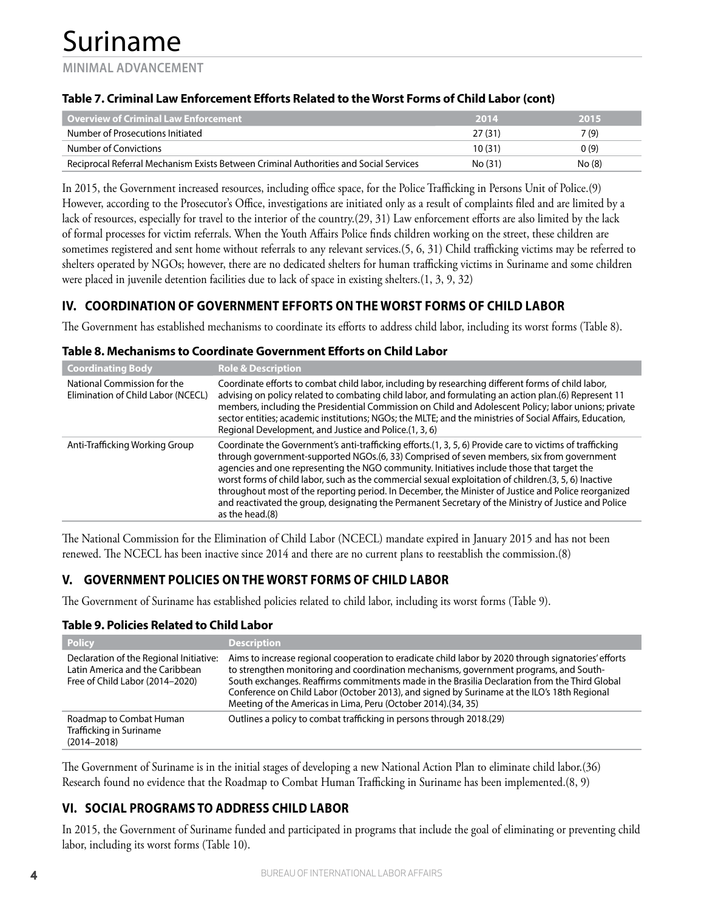**MINIMAL ADVANCEMENT**

## **Table 7. Criminal Law Enforcement Efforts Related to the Worst Forms of Child Labor (cont)**

| Overview of Criminal Law Enforcement                                                  | 2014    | 2015   |
|---------------------------------------------------------------------------------------|---------|--------|
| Number of Prosecutions Initiated                                                      | 27(31)  | 7 (9)  |
| Number of Convictions                                                                 | 10(31)  | 0(9)   |
| Reciprocal Referral Mechanism Exists Between Criminal Authorities and Social Services | No (31) | No (8) |

In 2015, the Government increased resources, including office space, for the Police Trafficking in Persons Unit of Police.(9) However, according to the Prosecutor's Office, investigations are initiated only as a result of complaints filed and are limited by a lack of resources, especially for travel to the interior of the country.(29, 31) Law enforcement efforts are also limited by the lack of formal processes for victim referrals. When the Youth Affairs Police finds children working on the street, these children are sometimes registered and sent home without referrals to any relevant services.(5, 6, 31) Child trafficking victims may be referred to shelters operated by NGOs; however, there are no dedicated shelters for human trafficking victims in Suriname and some children were placed in juvenile detention facilities due to lack of space in existing shelters.(1, 3, 9, 32)

## **IV. COORDINATION OF GOVERNMENT EFFORTS ON THE WORST FORMS OF CHILD LABOR**

The Government has established mechanisms to coordinate its efforts to address child labor, including its worst forms (Table 8).

## **Table 8. Mechanisms to Coordinate Government Efforts on Child Labor**

| <b>Coordinating Body</b>                                          | <b>Role &amp; Description</b>                                                                                                                                                                                                                                                                                                                                                                                                                                                                                                                                                                                                                    |
|-------------------------------------------------------------------|--------------------------------------------------------------------------------------------------------------------------------------------------------------------------------------------------------------------------------------------------------------------------------------------------------------------------------------------------------------------------------------------------------------------------------------------------------------------------------------------------------------------------------------------------------------------------------------------------------------------------------------------------|
| National Commission for the<br>Elimination of Child Labor (NCECL) | Coordinate efforts to combat child labor, including by researching different forms of child labor,<br>advising on policy related to combating child labor, and formulating an action plan.(6) Represent 11<br>members, including the Presidential Commission on Child and Adolescent Policy; labor unions; private<br>sector entities; academic institutions; NGOs; the MLTE; and the ministries of Social Affairs, Education,<br>Regional Development, and Justice and Police.(1, 3, 6)                                                                                                                                                         |
| Anti-Trafficking Working Group                                    | Coordinate the Government's anti-trafficking efforts.(1, 3, 5, 6) Provide care to victims of trafficking<br>through government-supported NGOs.(6, 33) Comprised of seven members, six from government<br>agencies and one representing the NGO community. Initiatives include those that target the<br>worst forms of child labor, such as the commercial sexual exploitation of children. (3, 5, 6) Inactive<br>throughout most of the reporting period. In December, the Minister of Justice and Police reorganized<br>and reactivated the group, designating the Permanent Secretary of the Ministry of Justice and Police<br>as the head.(8) |

The National Commission for the Elimination of Child Labor (NCECL) mandate expired in January 2015 and has not been renewed. The NCECL has been inactive since 2014 and there are no current plans to reestablish the commission.(8)

## **V. GOVERNMENT POLICIES ON THE WORST FORMS OF CHILD LABOR**

The Government of Suriname has established policies related to child labor, including its worst forms (Table 9).

## **Table 9. Policies Related to Child Labor**

| <b>Policy</b>                                                                                                 | <b>Description</b>                                                                                                                                                                                                                                                                                                                                                                                                                                             |
|---------------------------------------------------------------------------------------------------------------|----------------------------------------------------------------------------------------------------------------------------------------------------------------------------------------------------------------------------------------------------------------------------------------------------------------------------------------------------------------------------------------------------------------------------------------------------------------|
| Declaration of the Regional Initiative:<br>Latin America and the Caribbean<br>Free of Child Labor (2014-2020) | Aims to increase regional cooperation to eradicate child labor by 2020 through signatories' efforts<br>to strengthen monitoring and coordination mechanisms, government programs, and South-<br>South exchanges. Reaffirms commitments made in the Brasilia Declaration from the Third Global<br>Conference on Child Labor (October 2013), and signed by Suriname at the ILO's 18th Regional<br>Meeting of the Americas in Lima, Peru (October 2014). (34, 35) |
| Roadmap to Combat Human<br>Trafficking in Suriname<br>$(2014 - 2018)$                                         | Outlines a policy to combat trafficking in persons through 2018.(29)                                                                                                                                                                                                                                                                                                                                                                                           |

The Government of Suriname is in the initial stages of developing a new National Action Plan to eliminate child labor.(36) Research found no evidence that the Roadmap to Combat Human Trafficking in Suriname has been implemented.(8, 9)

## **VI. SOCIAL PROGRAMS TO ADDRESS CHILD LABOR**

In 2015, the Government of Suriname funded and participated in programs that include the goal of eliminating or preventing child labor, including its worst forms (Table 10).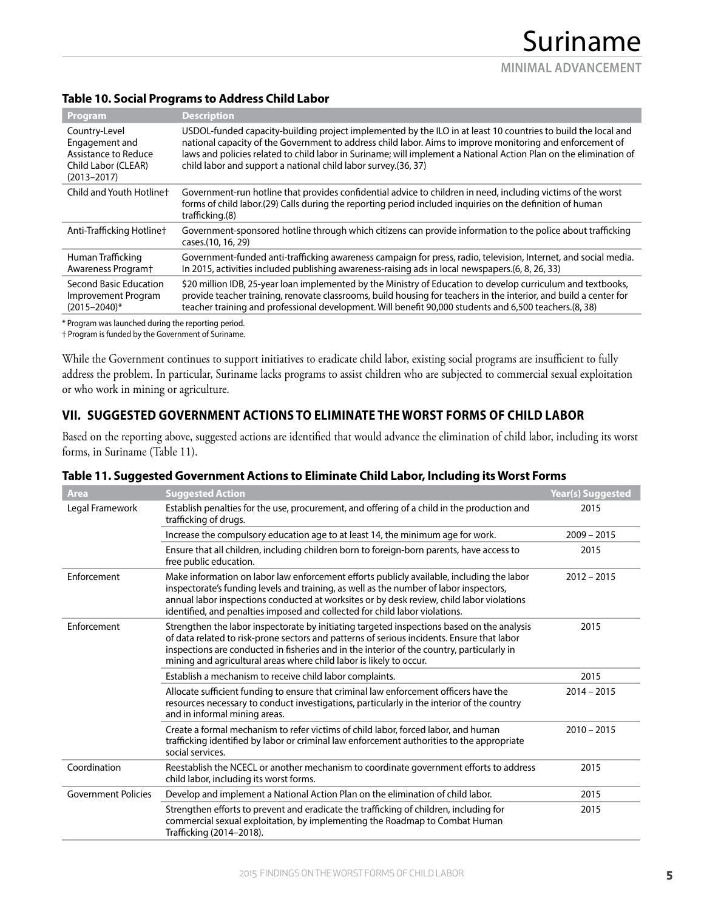#### **Table 10. Social Programs to Address Child Labor**

| Program                                                                                           | <b>Description</b>                                                                                                                                                                                                                                                                                                                                                                                                |
|---------------------------------------------------------------------------------------------------|-------------------------------------------------------------------------------------------------------------------------------------------------------------------------------------------------------------------------------------------------------------------------------------------------------------------------------------------------------------------------------------------------------------------|
| Country-Level<br>Engagement and<br>Assistance to Reduce<br>Child Labor (CLEAR)<br>$(2013 - 2017)$ | USDOL-funded capacity-building project implemented by the ILO in at least 10 countries to build the local and<br>national capacity of the Government to address child labor. Aims to improve monitoring and enforcement of<br>laws and policies related to child labor in Suriname; will implement a National Action Plan on the elimination of<br>child labor and support a national child labor survey.(36, 37) |
| Child and Youth Hotlinet                                                                          | Government-run hotline that provides confidential advice to children in need, including victims of the worst<br>forms of child labor. (29) Calls during the reporting period included inquiries on the definition of human<br>trafficking.(8)                                                                                                                                                                     |
| Anti-Trafficking Hotlinet                                                                         | Government-sponsored hotline through which citizens can provide information to the police about trafficking<br>cases.(10, 16, 29)                                                                                                                                                                                                                                                                                 |
| Human Trafficking<br>Awareness Program <sup>+</sup>                                               | Government-funded anti-trafficking awareness campaign for press, radio, television, Internet, and social media.<br>In 2015, activities included publishing awareness-raising ads in local newspapers. (6, 8, 26, 33)                                                                                                                                                                                              |
| Second Basic Education<br>Improvement Program<br>$(2015 - 2040)^*$                                | \$20 million IDB, 25-year loan implemented by the Ministry of Education to develop curriculum and textbooks,<br>provide teacher training, renovate classrooms, build housing for teachers in the interior, and build a center for<br>teacher training and professional development. Will benefit 90,000 students and 6,500 teachers. (8, 38)                                                                      |

\* Program was launched during the reporting period.

† Program is funded by the Government of Suriname.

While the Government continues to support initiatives to eradicate child labor, existing social programs are insufficient to fully address the problem. In particular, Suriname lacks programs to assist children who are subjected to commercial sexual exploitation or who work in mining or agriculture.

## **VII. SUGGESTED GOVERNMENT ACTIONS TO ELIMINATE THE WORST FORMS OF CHILD LABOR**

Based on the reporting above, suggested actions are identified that would advance the elimination of child labor, including its worst forms, in Suriname (Table 11).

| Area                       | <b>Suggested Action</b>                                                                                                                                                                                                                                                                                                                                         | Year(s) Suggested |
|----------------------------|-----------------------------------------------------------------------------------------------------------------------------------------------------------------------------------------------------------------------------------------------------------------------------------------------------------------------------------------------------------------|-------------------|
| Legal Framework            | Establish penalties for the use, procurement, and offering of a child in the production and<br>trafficking of drugs.                                                                                                                                                                                                                                            | 2015              |
|                            | Increase the compulsory education age to at least 14, the minimum age for work.                                                                                                                                                                                                                                                                                 | $2009 - 2015$     |
|                            | Ensure that all children, including children born to foreign-born parents, have access to<br>free public education.                                                                                                                                                                                                                                             | 2015              |
| Enforcement                | Make information on labor law enforcement efforts publicly available, including the labor<br>inspectorate's funding levels and training, as well as the number of labor inspectors,<br>annual labor inspections conducted at worksites or by desk review, child labor violations<br>identified, and penalties imposed and collected for child labor violations. | $2012 - 2015$     |
| Enforcement                | Strengthen the labor inspectorate by initiating targeted inspections based on the analysis<br>of data related to risk-prone sectors and patterns of serious incidents. Ensure that labor<br>inspections are conducted in fisheries and in the interior of the country, particularly in<br>mining and agricultural areas where child labor is likely to occur.   | 2015              |
|                            | Establish a mechanism to receive child labor complaints.                                                                                                                                                                                                                                                                                                        | 2015              |
|                            | Allocate sufficient funding to ensure that criminal law enforcement officers have the<br>resources necessary to conduct investigations, particularly in the interior of the country<br>and in informal mining areas.                                                                                                                                            | $2014 - 2015$     |
|                            | Create a formal mechanism to refer victims of child labor, forced labor, and human<br>trafficking identified by labor or criminal law enforcement authorities to the appropriate<br>social services.                                                                                                                                                            | $2010 - 2015$     |
| Coordination               | Reestablish the NCECL or another mechanism to coordinate government efforts to address<br>child labor, including its worst forms.                                                                                                                                                                                                                               | 2015              |
| <b>Government Policies</b> | Develop and implement a National Action Plan on the elimination of child labor.                                                                                                                                                                                                                                                                                 | 2015              |
|                            | Strengthen efforts to prevent and eradicate the trafficking of children, including for<br>commercial sexual exploitation, by implementing the Roadmap to Combat Human<br>Trafficking (2014-2018).                                                                                                                                                               | 2015              |

#### **Table 11. Suggested Government Actions to Eliminate Child Labor, Including its Worst Forms**